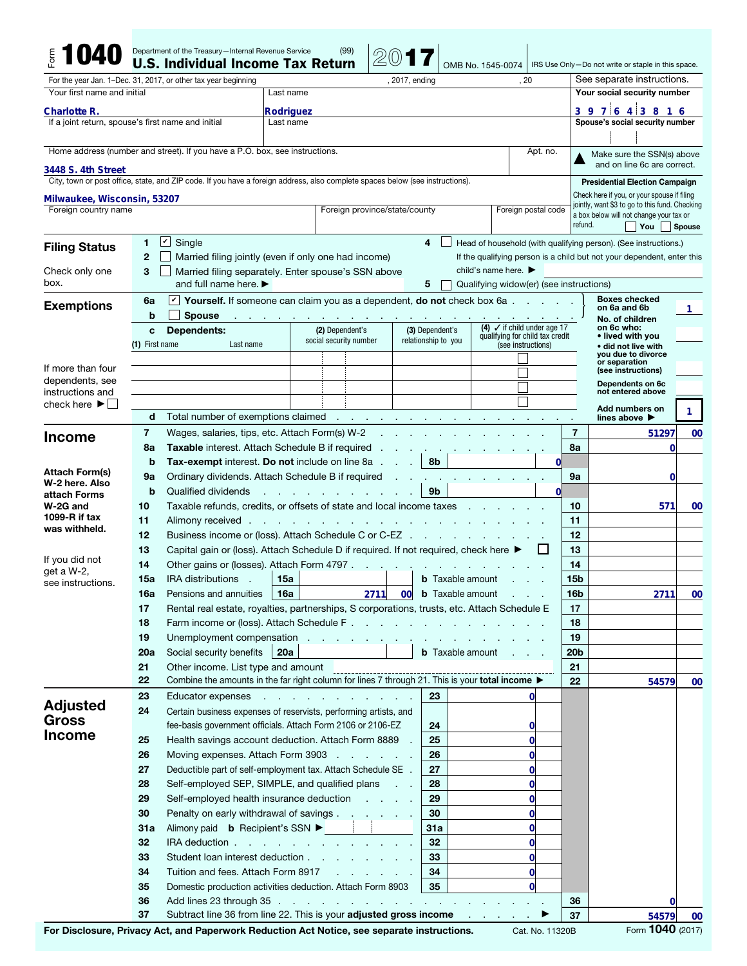|                                                                                              |                             | Department of the Treasury-Internal Revenue Service<br><b>U.S. Individual Income Tax Return</b>                               |                                         | (99)                                                                            |                                                  |        |                                | OMB No. 1545-0074           |                                                       |                 | IRS Use Only-Do not write or staple in this space.                                        |              |  |
|----------------------------------------------------------------------------------------------|-----------------------------|-------------------------------------------------------------------------------------------------------------------------------|-----------------------------------------|---------------------------------------------------------------------------------|--------------------------------------------------|--------|--------------------------------|-----------------------------|-------------------------------------------------------|-----------------|-------------------------------------------------------------------------------------------|--------------|--|
| For the year Jan. 1-Dec. 31, 2017, or other tax year beginning                               |                             |                                                                                                                               |                                         | , 2017, ending                                                                  |                                                  |        |                                |                             | . 20                                                  |                 | See separate instructions.                                                                |              |  |
| Your first name and initial                                                                  | Last name                   |                                                                                                                               |                                         |                                                                                 |                                                  |        |                                | Your social security number |                                                       |                 |                                                                                           |              |  |
|                                                                                              |                             |                                                                                                                               |                                         |                                                                                 |                                                  |        |                                |                             |                                                       |                 | 3 9 7 6 4 3 8 1 6                                                                         |              |  |
| Rodriguez<br>Charlotte R.<br>If a joint return, spouse's first name and initial<br>Last name |                             |                                                                                                                               |                                         |                                                                                 |                                                  |        |                                |                             |                                                       |                 | Spouse's social security number                                                           |              |  |
|                                                                                              |                             |                                                                                                                               |                                         |                                                                                 |                                                  |        |                                |                             |                                                       |                 |                                                                                           |              |  |
|                                                                                              |                             | Home address (number and street). If you have a P.O. box, see instructions.                                                   |                                         |                                                                                 |                                                  |        |                                |                             | Apt. no.                                              |                 | Make sure the SSN(s) above                                                                |              |  |
|                                                                                              |                             |                                                                                                                               |                                         |                                                                                 |                                                  |        |                                |                             |                                                       |                 | and on line 6c are correct.                                                               |              |  |
| 3448 S. 4th Street                                                                           |                             | City, town or post office, state, and ZIP code. If you have a foreign address, also complete spaces below (see instructions). |                                         |                                                                                 |                                                  |        |                                |                             |                                                       |                 | <b>Presidential Election Campaign</b>                                                     |              |  |
| Milwaukee, Wisconsin, 53207                                                                  |                             |                                                                                                                               |                                         |                                                                                 |                                                  |        |                                |                             |                                                       |                 | Check here if you, or your spouse if filing                                               |              |  |
| Foreign country name                                                                         |                             |                                                                                                                               |                                         |                                                                                 | Foreign province/state/county                    |        |                                |                             | Foreign postal code                                   |                 | jointly, want \$3 to go to this fund. Checking<br>a box below will not change your tax or |              |  |
|                                                                                              |                             |                                                                                                                               |                                         |                                                                                 |                                                  |        |                                |                             |                                                       | refund.         | You                                                                                       | Spouse       |  |
|                                                                                              | 1.                          | $ \mathbf{v} $<br>Single                                                                                                      |                                         |                                                                                 |                                                  | 4      |                                |                             |                                                       |                 | Head of household (with qualifying person). (See instructions.)                           |              |  |
| <b>Filing Status</b>                                                                         | $\mathbf{2}$                | Married filing jointly (even if only one had income)                                                                          |                                         |                                                                                 |                                                  |        |                                |                             |                                                       |                 | If the qualifying person is a child but not your dependent, enter this                    |              |  |
| Check only one                                                                               | 3                           | Married filing separately. Enter spouse's SSN above                                                                           |                                         |                                                                                 |                                                  |        |                                |                             |                                                       |                 |                                                                                           |              |  |
| box.                                                                                         |                             | and full name here. $\blacktriangleright$                                                                                     | Qualifying widow(er) (see instructions) |                                                                                 |                                                  |        |                                |                             |                                                       |                 |                                                                                           |              |  |
|                                                                                              | 6a                          | Yourself. If someone can claim you as a dependent, do not check box 6a $.$ .                                                  |                                         | <b>Boxes checked</b>                                                            |                                                  |        |                                |                             |                                                       |                 |                                                                                           |              |  |
| <b>Exemptions</b>                                                                            | b                           | <b>Spouse</b>                                                                                                                 |                                         |                                                                                 |                                                  |        |                                |                             |                                                       |                 | on 6a and 6b<br>No. of children                                                           | 1            |  |
|                                                                                              | Dependents:<br>C            |                                                                                                                               |                                         | (2) Dependent's                                                                 |                                                  |        | (3) Dependent's                |                             | (4) $\checkmark$ if child under age 17                |                 | on 6c who:                                                                                |              |  |
|                                                                                              | Last name<br>(1) First name |                                                                                                                               |                                         | social security number                                                          |                                                  |        | relationship to you            |                             | qualifying for child tax credit<br>(see instructions) |                 | • lived with you<br>• did not live with                                                   |              |  |
|                                                                                              |                             |                                                                                                                               |                                         |                                                                                 |                                                  |        |                                |                             |                                                       |                 | you due to divorce<br>or separation                                                       |              |  |
| If more than four<br>dependents, see                                                         |                             |                                                                                                                               |                                         |                                                                                 |                                                  |        |                                |                             |                                                       |                 | (see instructions)                                                                        |              |  |
| instructions and                                                                             |                             |                                                                                                                               |                                         |                                                                                 |                                                  |        |                                |                             |                                                       |                 | Dependents on 6c<br>not entered above                                                     |              |  |
| check here $\blacktriangleright$ $\parallel$                                                 |                             |                                                                                                                               |                                         |                                                                                 |                                                  |        |                                |                             |                                                       |                 | Add numbers on                                                                            | 1.           |  |
|                                                                                              | d                           | Total number of exemptions claimed                                                                                            |                                         | $\sim$                                                                          | the control of the control of the control of the |        |                                |                             |                                                       |                 | lines above D                                                                             |              |  |
| <b>Income</b>                                                                                | 7                           | Wages, salaries, tips, etc. Attach Form(s) W-2                                                                                |                                         |                                                                                 |                                                  |        |                                |                             |                                                       | 7               | 51297                                                                                     | 00           |  |
|                                                                                              | 8a                          | Taxable interest. Attach Schedule B if required                                                                               |                                         |                                                                                 |                                                  |        |                                |                             |                                                       | 8a              | $\bf{0}$                                                                                  |              |  |
| <b>Attach Form(s)</b>                                                                        | b                           | <b>Tax-exempt</b> interest. Do not include on line 8a                                                                         |                                         |                                                                                 |                                                  | $\sim$ | 8b                             |                             | 0l                                                    |                 |                                                                                           |              |  |
| W-2 here. Also                                                                               | 9а                          | Ordinary dividends. Attach Schedule B if required                                                                             |                                         |                                                                                 |                                                  |        |                                |                             |                                                       | 9а              | 0                                                                                         |              |  |
| attach Forms                                                                                 | b                           | Qualified dividends                                                                                                           |                                         | the control of the control of the con-                                          |                                                  |        | 9 <sub>b</sub>                 |                             | 0l                                                    |                 |                                                                                           |              |  |
| W-2G and<br>1099- $R$ if tax                                                                 | 10<br>11                    | Taxable refunds, credits, or offsets of state and local income taxes                                                          |                                         |                                                                                 |                                                  |        |                                |                             |                                                       | 10<br>11        | 571                                                                                       | 00           |  |
| was withheld.                                                                                | 12                          | Alimony received<br>Business income or (loss). Attach Schedule C or C-EZ                                                      |                                         | the contract of the contract of the contract of the contract of the contract of |                                                  |        | and the company of the company |                             |                                                       | 12              |                                                                                           |              |  |
|                                                                                              | 13                          | Capital gain or (loss). Attach Schedule D if required. If not required, check here ▶                                          |                                         |                                                                                 |                                                  |        |                                |                             | L                                                     | 13              |                                                                                           |              |  |
| If you did not                                                                               | 14                          | Other gains or (losses). Attach Form 4797.                                                                                    |                                         |                                                                                 | the company of the com-                          |        |                                |                             |                                                       | 14              |                                                                                           |              |  |
| get a W-2,                                                                                   | 15a                         | <b>IRA</b> distributions<br>n.                                                                                                | 15a                                     |                                                                                 |                                                  |        | <b>b</b> Taxable amount        |                             |                                                       | 15 <sub>b</sub> |                                                                                           |              |  |
| see instructions.                                                                            | 16a                         | Pensions and annuities                                                                                                        | 16a                                     |                                                                                 | 2711                                             |        |                                | <b>00 b</b> Taxable amount  |                                                       | 16b             | 2711                                                                                      | 00           |  |
|                                                                                              | 17                          | Rental real estate, royalties, partnerships, S corporations, trusts, etc. Attach Schedule E                                   |                                         |                                                                                 |                                                  |        |                                |                             |                                                       | 17              |                                                                                           |              |  |
|                                                                                              | 18                          | Farm income or (loss). Attach Schedule F.                                                                                     |                                         |                                                                                 |                                                  |        |                                |                             |                                                       | 18              |                                                                                           |              |  |
|                                                                                              | 19                          | Unemployment compensation                                                                                                     |                                         |                                                                                 |                                                  |        |                                |                             |                                                       | 19              |                                                                                           |              |  |
|                                                                                              | 20a                         | Social security benefits<br>20a<br><b>b</b> Taxable amount                                                                    |                                         |                                                                                 |                                                  |        |                                |                             | 20 <sub>b</sub>                                       |                 |                                                                                           |              |  |
|                                                                                              | 21                          | Other income. List type and amount                                                                                            |                                         |                                                                                 |                                                  |        |                                |                             |                                                       | 21              |                                                                                           |              |  |
|                                                                                              | 22                          | Combine the amounts in the far right column for lines 7 through 21. This is your total income $\blacktriangleright$           |                                         |                                                                                 |                                                  |        |                                |                             |                                                       | 22              | 54579                                                                                     | 00           |  |
| <b>Adjusted</b>                                                                              | 23                          | Educator expenses                                                                                                             |                                         | and the contract of the contract of                                             |                                                  |        | 23                             |                             | $\mathbf{0}$                                          |                 |                                                                                           |              |  |
| Gross                                                                                        | 24                          | Certain business expenses of reservists, performing artists, and                                                              |                                         |                                                                                 |                                                  |        |                                |                             |                                                       |                 |                                                                                           |              |  |
| <b>Income</b>                                                                                |                             | fee-basis government officials. Attach Form 2106 or 2106-EZ                                                                   |                                         |                                                                                 |                                                  |        | 24                             |                             | 0                                                     |                 |                                                                                           |              |  |
|                                                                                              | 25                          | Health savings account deduction. Attach Form 8889 .                                                                          |                                         |                                                                                 |                                                  |        | 25                             |                             | $\mathbf{0}$                                          |                 |                                                                                           |              |  |
|                                                                                              | 26                          | Moving expenses. Attach Form 3903                                                                                             |                                         |                                                                                 |                                                  |        | 26<br>27                       |                             | $\mathbf{0}$                                          |                 |                                                                                           |              |  |
|                                                                                              | 27<br>28                    | Deductible part of self-employment tax. Attach Schedule SE .                                                                  |                                         |                                                                                 |                                                  |        |                                |                             | $\mathbf{0}$                                          |                 |                                                                                           |              |  |
|                                                                                              | 29                          | Self-employed SEP, SIMPLE, and qualified plans<br>28<br>$\mathbf{0}$<br>29<br>$\mathbf{0}$                                    |                                         |                                                                                 |                                                  |        |                                |                             |                                                       |                 |                                                                                           |              |  |
|                                                                                              | 30                          | Self-employed health insurance deduction<br>Penalty on early withdrawal of savings<br>30                                      |                                         |                                                                                 |                                                  |        |                                |                             | $\mathbf{0}$                                          |                 |                                                                                           |              |  |
|                                                                                              | 31a                         | Alimony paid <b>b</b> Recipient's SSN ▶ │ │<br>31a                                                                            |                                         |                                                                                 |                                                  |        |                                |                             | $\mathbf{0}$                                          |                 |                                                                                           |              |  |
|                                                                                              | 32                          | IRA deduction<br>32<br>$\mathbf{0}$                                                                                           |                                         |                                                                                 |                                                  |        |                                |                             |                                                       |                 |                                                                                           |              |  |
|                                                                                              | 33                          | Student loan interest deduction                                                                                               |                                         |                                                                                 |                                                  |        | 33                             |                             | $\mathbf{0}$                                          |                 |                                                                                           |              |  |
|                                                                                              | 34                          | Tuition and fees. Attach Form 8917                                                                                            |                                         |                                                                                 |                                                  |        | 34                             |                             | $\mathbf 0$                                           |                 |                                                                                           |              |  |
|                                                                                              | 35                          | Domestic production activities deduction. Attach Form 8903                                                                    |                                         |                                                                                 |                                                  |        | 35                             |                             | $\mathbf{0}$                                          |                 |                                                                                           |              |  |
|                                                                                              | 36                          | Add lines 23 through 35                                                                                                       |                                         |                                                                                 |                                                  |        |                                |                             |                                                       | 36              | 0                                                                                         |              |  |
|                                                                                              | 37                          | Subtract line 36 from line 22. This is your adjusted gross income                                                             |                                         |                                                                                 |                                                  |        |                                | the company of the          |                                                       | 37              | 54579                                                                                     | 00           |  |
|                                                                                              |                             |                                                                                                                               |                                         |                                                                                 |                                                  |        |                                |                             |                                                       |                 |                                                                                           | $1040$ $622$ |  |

For Disclosure, Privacy Act, and Paperwork Reduction Act Notice, see separate instructions. Cat. No. 11320B Form 1040 (2017)